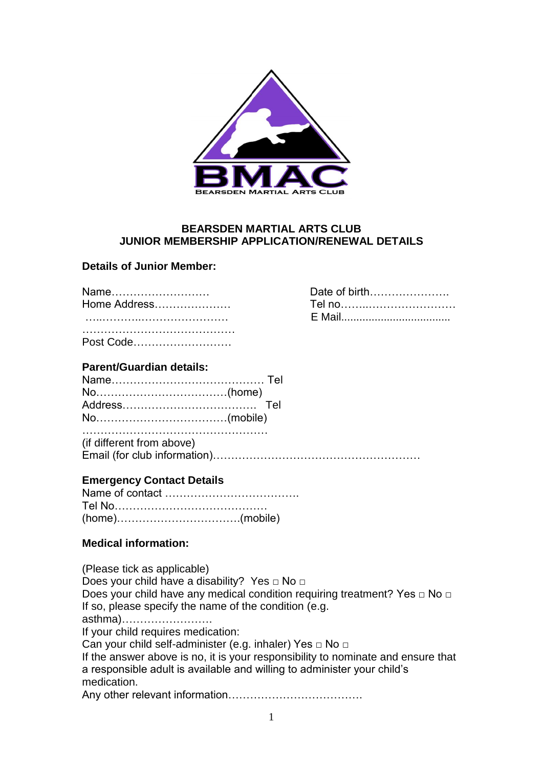

#### **BEARSDEN MARTIAL ARTS CLUB JUNIOR MEMBERSHIP APPLICATION/RENEWAL DETAILS**

Date of birth………………… Tel no………………………… …..………..…………………… E Mail....................................

#### **Details of Junior Member:**

| Name<br>Home Address |
|----------------------|
|                      |
| Post Code            |

### **Parent/Guardian details:**

…………………………………………… (if different from above) Email (for club information)…………………………………………………

### **Emergency Contact Details**

#### **Medical information:**

(Please tick as applicable) Does your child have a disability? Yes □ No □ Does your child have any medical condition requiring treatment? Yes  $\Box$  No  $\Box$ If so, please specify the name of the condition (e.g. asthma)……………………. If your child requires medication: Can your child self-administer (e.g. inhaler) Yes □ No □ If the answer above is no, it is your responsibility to nominate and ensure that a responsible adult is available and willing to administer your child's medication. Any other relevant information……………………………….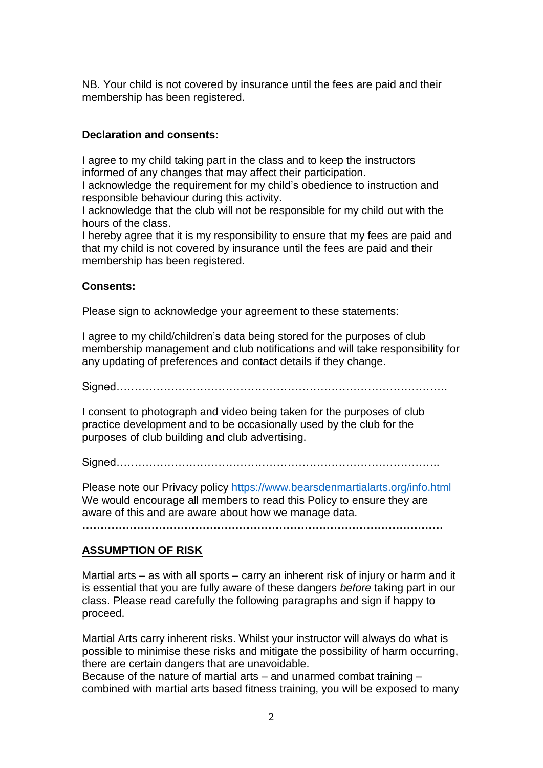NB. Your child is not covered by insurance until the fees are paid and their membership has been registered.

## **Declaration and consents:**

I agree to my child taking part in the class and to keep the instructors informed of any changes that may affect their participation.

I acknowledge the requirement for my child's obedience to instruction and responsible behaviour during this activity.

I acknowledge that the club will not be responsible for my child out with the hours of the class.

I hereby agree that it is my responsibility to ensure that my fees are paid and that my child is not covered by insurance until the fees are paid and their membership has been registered.

### **Consents:**

Please sign to acknowledge your agreement to these statements:

I agree to my child/children's data being stored for the purposes of club membership management and club notifications and will take responsibility for any updating of preferences and contact details if they change.

Signed……………………………………………………………………………….

I consent to photograph and video being taken for the purposes of club practice development and to be occasionally used by the club for the purposes of club building and club advertising.

Signed……………………………………………………………………………..

Please note our Privacy policy <https://www.bearsdenmartialarts.org/info.html> We would encourage all members to read this Policy to ensure they are aware of this and are aware about how we manage data.

**………………………………………………………………………………………**

# **ASSUMPTION OF RISK**

Martial arts – as with all sports – carry an inherent risk of injury or harm and it is essential that you are fully aware of these dangers *before* taking part in our class. Please read carefully the following paragraphs and sign if happy to proceed.

Martial Arts carry inherent risks. Whilst your instructor will always do what is possible to minimise these risks and mitigate the possibility of harm occurring, there are certain dangers that are unavoidable.

Because of the nature of martial arts – and unarmed combat training – combined with martial arts based fitness training, you will be exposed to many